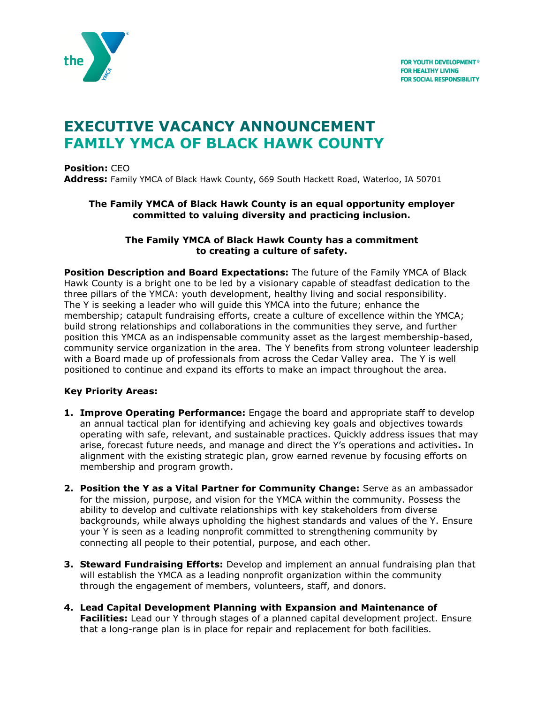

# **EXECUTIVE VACANCY ANNOUNCEMENT FAMILY YMCA OF BLACK HAWK COUNTY**

**Position:** CEO **Address:** Family YMCA of Black Hawk County, 669 South Hackett Road, Waterloo, IA 50701

#### **The Family YMCA of Black Hawk County is an equal opportunity employer committed to valuing diversity and practicing inclusion.**

#### **The Family YMCA of Black Hawk County has a commitment to creating a culture of safety.**

**Position Description and Board Expectations:** The future of the Family YMCA of Black Hawk County is a bright one to be led by a visionary capable of steadfast dedication to the three pillars of the YMCA: youth development, healthy living and social responsibility. The Y is seeking a leader who will guide this YMCA into the future; enhance the membership; catapult fundraising efforts, create a culture of excellence within the YMCA; build strong relationships and collaborations in the communities they serve, and further position this YMCA as an indispensable community asset as the largest membership-based, community service organization in the area. The Y benefits from strong volunteer leadership with a Board made up of professionals from across the Cedar Valley area. The Y is well positioned to continue and expand its efforts to make an impact throughout the area.

# **Key Priority Areas:**

- **1. Improve Operating Performance:** Engage the board and appropriate staff to develop an annual tactical plan for identifying and achieving key goals and objectives towards operating with safe, relevant, and sustainable practices. Quickly address issues that may arise, forecast future needs, and manage and direct the Y's operations and activities**.** In alignment with the existing strategic plan, grow earned revenue by focusing efforts on membership and program growth.
- **2. Position the Y as a Vital Partner for Community Change:** Serve as an ambassador for the mission, purpose, and vision for the YMCA within the community. Possess the ability to develop and cultivate relationships with key stakeholders from diverse backgrounds, while always upholding the highest standards and values of the Y. Ensure your Y is seen as a leading nonprofit committed to strengthening community by connecting all people to their potential, purpose, and each other.
- **3. Steward Fundraising Efforts:** Develop and implement an annual fundraising plan that will establish the YMCA as a leading nonprofit organization within the community through the engagement of members, volunteers, staff, and donors.
- **4. Lead Capital Development Planning with Expansion and Maintenance of Facilities:** Lead our Y through stages of a planned capital development project. Ensure that a long-range plan is in place for repair and replacement for both facilities.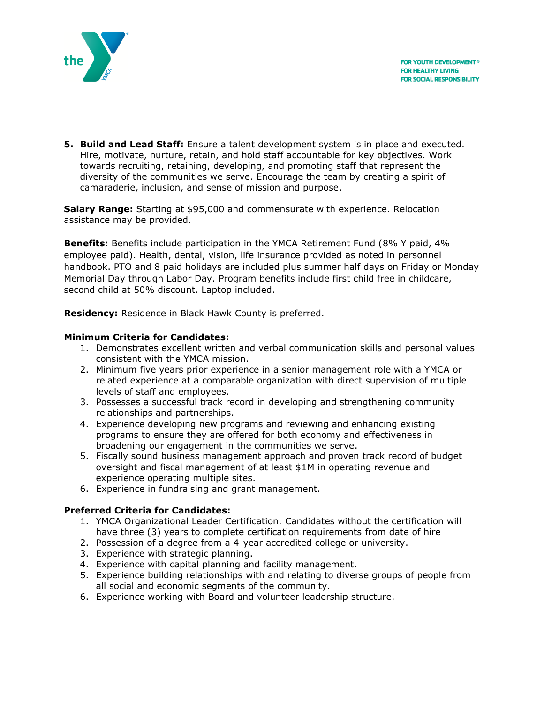



**5. Build and Lead Staff:** Ensure a talent development system is in place and executed. Hire, motivate, nurture, retain, and hold staff accountable for key objectives. Work towards recruiting, retaining, developing, and promoting staff that represent the diversity of the communities we serve. Encourage the team by creating a spirit of camaraderie, inclusion, and sense of mission and purpose.

**Salary Range:** Starting at \$95,000 and commensurate with experience. Relocation assistance may be provided.

**Benefits:** Benefits include participation in the YMCA Retirement Fund (8% Y paid, 4% employee paid). Health, dental, vision, life insurance provided as noted in personnel handbook. PTO and 8 paid holidays are included plus summer half days on Friday or Monday Memorial Day through Labor Day. Program benefits include first child free in childcare, second child at 50% discount. Laptop included.

**Residency:** Residence in Black Hawk County is preferred.

#### **Minimum Criteria for Candidates:**

- 1. Demonstrates excellent written and verbal communication skills and personal values consistent with the YMCA mission.
- 2. Minimum five years prior experience in a senior management role with a YMCA or related experience at a comparable organization with direct supervision of multiple levels of staff and employees.
- 3. Possesses a successful track record in developing and strengthening community relationships and partnerships.
- 4. Experience developing new programs and reviewing and enhancing existing programs to ensure they are offered for both economy and effectiveness in broadening our engagement in the communities we serve.
- 5. Fiscally sound business management approach and proven track record of budget oversight and fiscal management of at least \$1M in operating revenue and experience operating multiple sites.
- 6. Experience in fundraising and grant management.

# **Preferred Criteria for Candidates:**

- 1. YMCA Organizational Leader Certification. Candidates without the certification will have three (3) years to complete certification requirements from date of hire
- 2. Possession of a degree from a 4-year accredited college or university.
- 3. Experience with strategic planning.
- 4. Experience with capital planning and facility management.
- 5. Experience building relationships with and relating to diverse groups of people from all social and economic segments of the community.
- 6. Experience working with Board and volunteer leadership structure.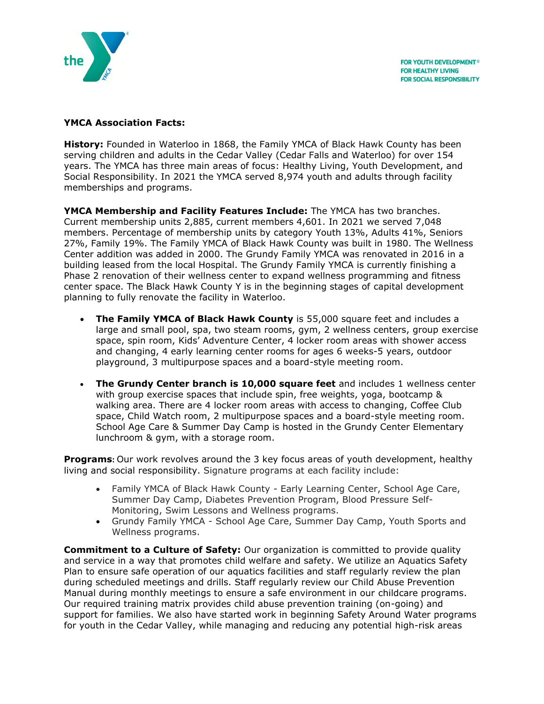

# **YMCA Association Facts:**

**History:** Founded in Waterloo in 1868, the Family YMCA of Black Hawk County has been serving children and adults in the Cedar Valley (Cedar Falls and Waterloo) for over 154 years. The YMCA has three main areas of focus: Healthy Living, Youth Development, and Social Responsibility. In 2021 the YMCA served 8,974 youth and adults through facility memberships and programs.

**YMCA Membership and Facility Features Include:** The YMCA has two branches. Current membership units 2,885, current members 4,601. In 2021 we served 7,048 members. Percentage of membership units by category Youth 13%, Adults 41%, Seniors 27%, Family 19%. The Family YMCA of Black Hawk County was built in 1980. The Wellness Center addition was added in 2000. The Grundy Family YMCA was renovated in 2016 in a building leased from the local Hospital. The Grundy Family YMCA is currently finishing a Phase 2 renovation of their wellness center to expand wellness programming and fitness center space. The Black Hawk County Y is in the beginning stages of capital development planning to fully renovate the facility in Waterloo.

- **The Family YMCA of Black Hawk County** is 55,000 square feet and includes a large and small pool, spa, two steam rooms, gym, 2 wellness centers, group exercise space, spin room, Kids' Adventure Center, 4 locker room areas with shower access and changing, 4 early learning center rooms for ages 6 weeks-5 years, outdoor playground, 3 multipurpose spaces and a board-style meeting room.
- **The Grundy Center branch is 10,000 square feet** and includes 1 wellness center with group exercise spaces that include spin, free weights, yoga, bootcamp & walking area. There are 4 locker room areas with access to changing, Coffee Club space, Child Watch room, 2 multipurpose spaces and a board-style meeting room. School Age Care & Summer Day Camp is hosted in the Grundy Center Elementary lunchroom & gym, with a storage room.

**Programs:** Our work revolves around the 3 key focus areas of youth development, healthy living and social responsibility. Signature programs at each facility include:

- Family YMCA of Black Hawk County Early Learning Center, School Age Care, Summer Day Camp, Diabetes Prevention Program, Blood Pressure Self-Monitoring, Swim Lessons and Wellness programs.
- Grundy Family YMCA School Age Care, Summer Day Camp, Youth Sports and Wellness programs.

**Commitment to a Culture of Safety:** Our organization is committed to provide quality and service in a way that promotes child welfare and safety. We utilize an Aquatics Safety Plan to ensure safe operation of our aquatics facilities and staff regularly review the plan during scheduled meetings and drills. Staff regularly review our Child Abuse Prevention Manual during monthly meetings to ensure a safe environment in our childcare programs. Our required training matrix provides child abuse prevention training (on-going) and support for families. We also have started work in beginning Safety Around Water programs for youth in the Cedar Valley, while managing and reducing any potential high-risk areas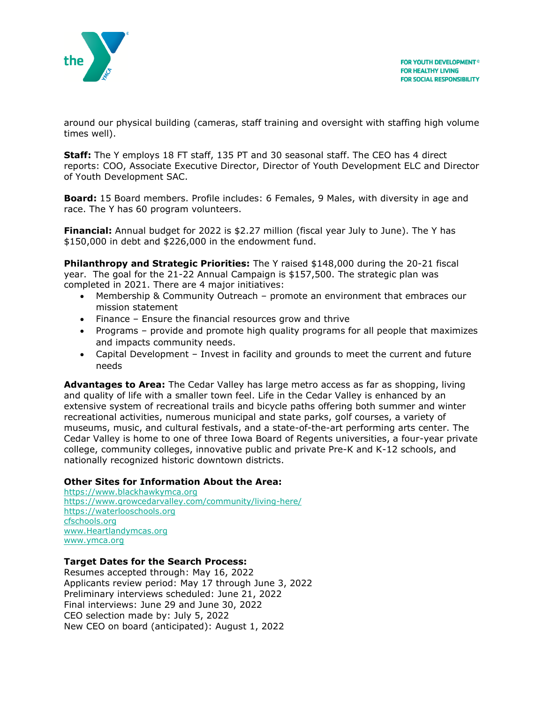

around our physical building (cameras, staff training and oversight with staffing high volume times well).

**Staff:** The Y employs 18 FT staff, 135 PT and 30 seasonal staff. The CEO has 4 direct reports: COO, Associate Executive Director, Director of Youth Development ELC and Director of Youth Development SAC.

**Board:** 15 Board members. Profile includes: 6 Females, 9 Males, with diversity in age and race. The Y has 60 program volunteers.

**Financial:** Annual budget for 2022 is \$2.27 million (fiscal year July to June). The Y has \$150,000 in debt and \$226,000 in the endowment fund.

**Philanthropy and Strategic Priorities:** The Y raised \$148,000 during the 20-21 fiscal year. The goal for the 21-22 Annual Campaign is \$157,500. The strategic plan was completed in 2021. There are 4 major initiatives:

- Membership & Community Outreach promote an environment that embraces our mission statement
- Finance Ensure the financial resources grow and thrive
- Programs provide and promote high quality programs for all people that maximizes and impacts community needs.
- Capital Development Invest in facility and grounds to meet the current and future needs

**Advantages to Area:** The Cedar Valley has large metro access as far as shopping, living and quality of life with a smaller town feel. Life in the Cedar Valley is enhanced by an extensive system of recreational trails and bicycle paths offering both summer and winter recreational activities, numerous municipal and state parks, golf courses, a variety of museums, music, and cultural festivals, and a state-of-the-art performing arts center. The Cedar Valley is home to one of three Iowa Board of Regents universities, a four-year private college, community colleges, innovative public and private Pre-K and K-12 schools, and nationally recognized historic downtown districts.

#### **Other Sites for Information About the Area:**

[https://www.blackhawkymca.org](https://www.blackhawkymca.org/) <https://www.growcedarvalley.com/community/living-here/> [https://waterlooschools.org](https://waterlooschools.org/) [cfschools.org](https://www.cfschools.org/) [www.Heartlandymcas.org](http://www.heartlandymcas.org/) www.ymca.org

# **Target Dates for the Search Process:**

Resumes accepted through: May 16, 2022 Applicants review period: May 17 through June 3, 2022 Preliminary interviews scheduled: June 21, 2022 Final interviews: June 29 and June 30, 2022 CEO selection made by: July 5, 2022 New CEO on board (anticipated): August 1, 2022